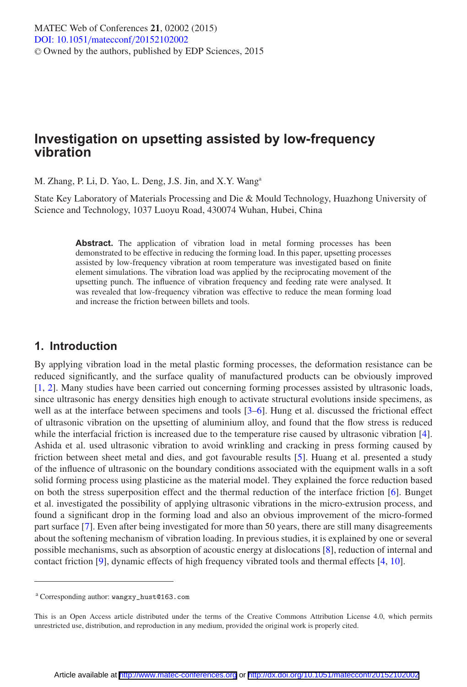# **Investigation on upsetting assisted by low-frequency vibration**

M. Zhang, P. Li, D. Yao, L. Deng, J.S. Jin, and X.Y. Wanga

State Key Laboratory of Materials Processing and Die & Mould Technology, Huazhong University of Science and Technology, 1037 Luoyu Road, 430074 Wuhan, Hubei, China

> Abstract. The application of vibration load in metal forming processes has been demonstrated to be effective in reducing the forming load. In this paper, upsetting processes assisted by low-frequency vibration at room temperature was investigated based on finite element simulations. The vibration load was applied by the reciprocating movement of the upsetting punch. The influence of vibration frequency and feeding rate were analysed. It was revealed that low-frequency vibration was effective to reduce the mean forming load and increase the friction between billets and tools.

### **1. Introduction**

By applying vibration load in the metal plastic forming processes, the deformation resistance can be reduced significantly, and the surface quality of manufactured products can be obviously improved [\[1,](#page-5-0) [2](#page-5-1)]. Many studies have been carried out concerning forming processes assisted by ultrasonic loads, since ultrasonic has energy densities high enough to activate structural evolutions inside specimens, as well as at the interface between specimens and tools [\[3](#page-5-2)[–6](#page-5-3)]. Hung et al. discussed the frictional effect of ultrasonic vibration on the upsetting of aluminium alloy, and found that the flow stress is reduced while the interfacial friction is increased due to the temperature rise caused by ultrasonic vibration [\[4\]](#page-5-4). Ashida et al. used ultrasonic vibration to avoid wrinkling and cracking in press forming caused by friction between sheet metal and dies, and got favourable results [\[5](#page-5-5)]. Huang et al. presented a study of the influence of ultrasonic on the boundary conditions associated with the equipment walls in a soft solid forming process using plasticine as the material model. They explained the force reduction based on both the stress superposition effect and the thermal reduction of the interface friction [\[6\]](#page-5-3). Bunget et al. investigated the possibility of applying ultrasonic vibrations in the micro-extrusion process, and found a significant drop in the forming load and also an obvious improvement of the micro-formed part surface [\[7](#page-5-6)]. Even after being investigated for more than 50 years, there are still many disagreements about the softening mechanism of vibration loading. In previous studies, it is explained by one or several possible mechanisms, such as absorption of acoustic energy at dislocations [\[8](#page-5-7)], reduction of internal and contact friction [\[9\]](#page-5-8), dynamic effects of high frequency vibrated tools and thermal effects [\[4,](#page-5-4) [10\]](#page-5-9).

<sup>a</sup> Corresponding author: wangxy\_hust@163.com

This is an Open Access article distributed under the terms of the Creative Commons Attribution License 4.0, which permits unrestricted use, distribution, and reproduction in any medium, provided the original work is properly cited.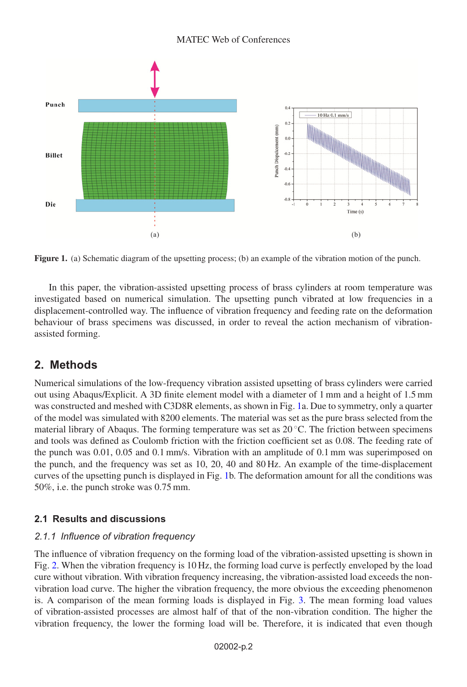<span id="page-1-0"></span>

**Figure 1.** (a) Schematic diagram of the upsetting process; (b) an example of the vibration motion of the punch.

In this paper, the vibration-assisted upsetting process of brass cylinders at room temperature was investigated based on numerical simulation. The upsetting punch vibrated at low frequencies in a displacement-controlled way. The influence of vibration frequency and feeding rate on the deformation behaviour of brass specimens was discussed, in order to reveal the action mechanism of vibrationassisted forming.

## **2. Methods**

Numerical simulations of the low-frequency vibration assisted upsetting of brass cylinders were carried out using Abaqus/Explicit. A 3D finite element model with a diameter of 1 mm and a height of 1.5 mm was constructed and meshed with C3D8R elements, as shown in Fig. [1a](#page-1-0). Due to symmetry, only a quarter of the model was simulated with 8200 elements. The material was set as the pure brass selected from the material library of Abaqus. The forming temperature was set as  $20^{\circ}$ C. The friction between specimens and tools was defined as Coulomb friction with the friction coefficient set as 0.08. The feeding rate of the punch was 0.01, 0.05 and 0.1 mm/s. Vibration with an amplitude of 0.1 mm was superimposed on the punch, and the frequency was set as 10, 20, 40 and 80 Hz. An example of the time-displacement curves of the upsetting punch is displayed in Fig. [1b](#page-1-0). The deformation amount for all the conditions was 50%, i.e. the punch stroke was 0.75 mm.

### **2.1 Results and discussions**

#### *2.1.1 Influence of vibration frequency*

The influence of vibration frequency on the forming load of the vibration-assisted upsetting is shown in Fig. [2.](#page-2-0) When the vibration frequency is 10 Hz, the forming load curve is perfectly enveloped by the load cure without vibration. With vibration frequency increasing, the vibration-assisted load exceeds the nonvibration load curve. The higher the vibration frequency, the more obvious the exceeding phenomenon is. A comparison of the mean forming loads is displayed in Fig. [3.](#page-3-0) The mean forming load values of vibration-assisted processes are almost half of that of the non-vibration condition. The higher the vibration frequency, the lower the forming load will be. Therefore, it is indicated that even though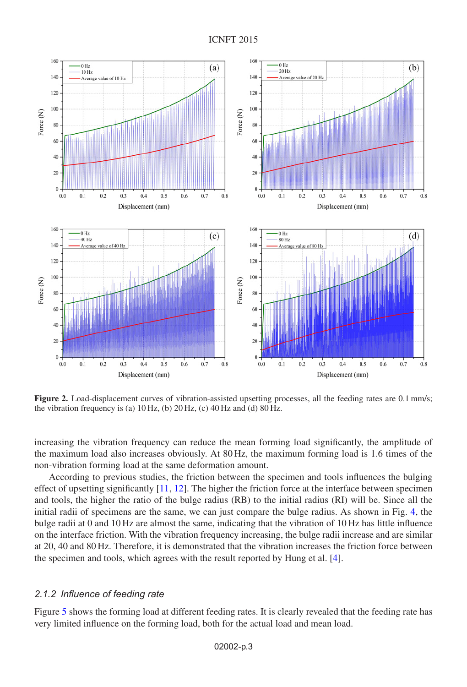<span id="page-2-0"></span>

**Figure 2.** Load-displacement curves of vibration-assisted upsetting processes, all the feeding rates are 0.1 mm/s; the vibration frequency is (a)  $10 \text{ Hz}$ , (b)  $20 \text{ Hz}$ , (c)  $40 \text{ Hz}$  and (d)  $80 \text{ Hz}$ .

increasing the vibration frequency can reduce the mean forming load significantly, the amplitude of the maximum load also increases obviously. At 80 Hz, the maximum forming load is 1.6 times of the non-vibration forming load at the same deformation amount.

According to previous studies, the friction between the specimen and tools influences the bulging effect of upsetting significantly [\[11,](#page-5-10) [12](#page-5-11)]. The higher the friction force at the interface between specimen and tools, the higher the ratio of the bulge radius (RB) to the initial radius (RI) will be. Since all the initial radii of specimens are the same, we can just compare the bulge radius. As shown in Fig. [4,](#page-3-1) the bulge radii at 0 and 10 Hz are almost the same, indicating that the vibration of 10 Hz has little influence on the interface friction. With the vibration frequency increasing, the bulge radii increase and are similar at 20, 40 and 80 Hz. Therefore, it is demonstrated that the vibration increases the friction force between the specimen and tools, which agrees with the result reported by Hung et al. [\[4\]](#page-5-4).

#### *2.1.2 Influence of feeding rate*

Figure [5](#page-4-0) shows the forming load at different feeding rates. It is clearly revealed that the feeding rate has very limited influence on the forming load, both for the actual load and mean load.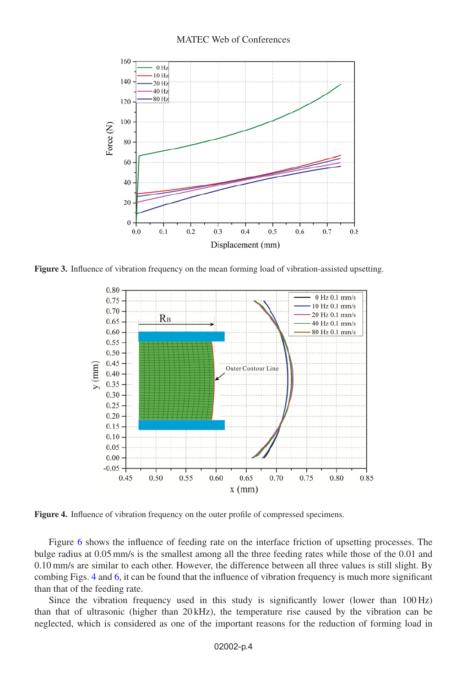<span id="page-3-0"></span>

<span id="page-3-1"></span>**Figure 3.** Influence of vibration frequency on the mean forming load of vibration-assisted upsetting.



**Figure 4.** Influence of vibration frequency on the outer profile of compressed specimens.

Figure [6](#page-4-1) shows the influence of feeding rate on the interface friction of upsetting processes. The bulge radius at 0.05 mm/s is the smallest among all the three feeding rates while those of the 0.01 and 0.10 mm/s are similar to each other. However, the difference between all three values is still slight. By combing Figs. [4](#page-3-1) and [6,](#page-4-1) it can be found that the influence of vibration frequency is much more significant than that of the feeding rate.

Since the vibration frequency used in this study is significantly lower (lower than 100 Hz) than that of ultrasonic (higher than 20 kHz), the temperature rise caused by the vibration can be neglected, which is considered as one of the important reasons for the reduction of forming load in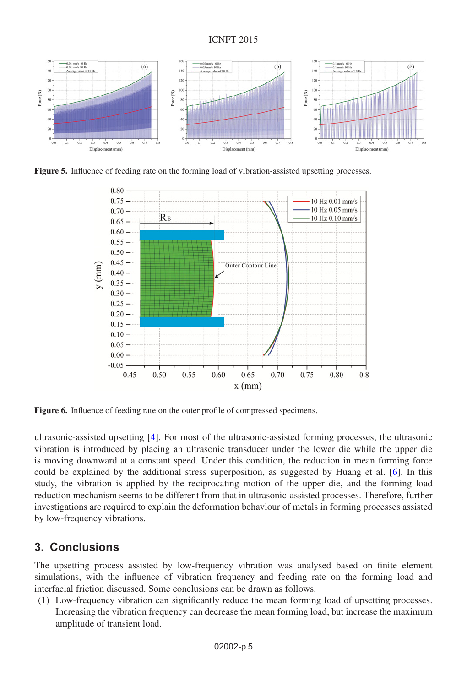#### ICNFT 2015

<span id="page-4-0"></span>

<span id="page-4-1"></span>**Figure 5.** Influence of feeding rate on the forming load of vibration-assisted upsetting processes.



**Figure 6.** Influence of feeding rate on the outer profile of compressed specimens.

ultrasonic-assisted upsetting [\[4](#page-5-4)]. For most of the ultrasonic-assisted forming processes, the ultrasonic vibration is introduced by placing an ultrasonic transducer under the lower die while the upper die is moving downward at a constant speed. Under this condition, the reduction in mean forming force could be explained by the additional stress superposition, as suggested by Huang et al. [\[6](#page-5-3)]. In this study, the vibration is applied by the reciprocating motion of the upper die, and the forming load reduction mechanism seems to be different from that in ultrasonic-assisted processes. Therefore, further investigations are required to explain the deformation behaviour of metals in forming processes assisted by low-frequency vibrations.

## **3. Conclusions**

The upsetting process assisted by low-frequency vibration was analysed based on finite element simulations, with the influence of vibration frequency and feeding rate on the forming load and interfacial friction discussed. Some conclusions can be drawn as follows.

(1) Low-frequency vibration can significantly reduce the mean forming load of upsetting processes. Increasing the vibration frequency can decrease the mean forming load, but increase the maximum amplitude of transient load.